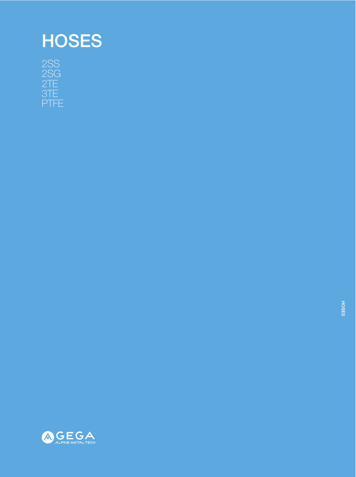

NOS<br>
2SS<br>
2SG<br>
2TE<br>
3TE<br>
PTFE

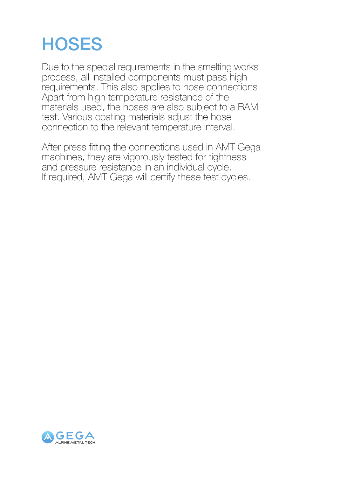## **HOSES**

Due to the special requirements in the smelting works process, all installed components must pass high requirements. This also applies to hose connections. Apart from high temperature resistance of the materials used, the hoses are also subject to a BAM test. Various coating materials adjust the hose connection to the relevant temperature interval.

After press fitting the connections used in AMT Gega machines, they are vigorously tested for tightness and pressure resistance in an individual cycle. If required, AMT Gega will certify these test cycles.

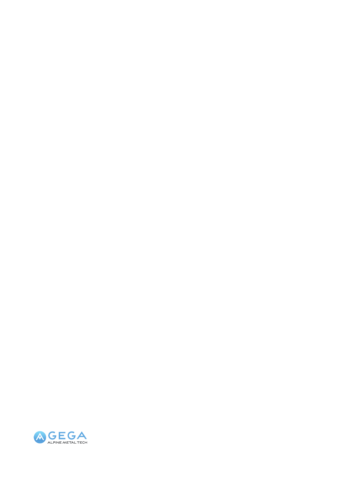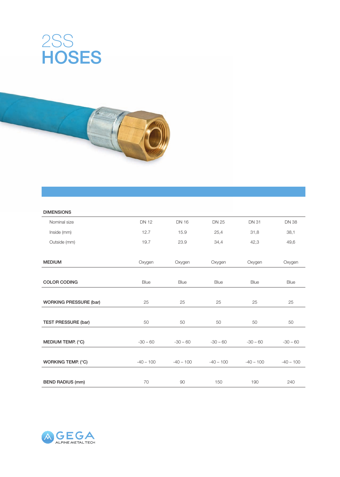



## DIMENSIONS

| Nominal size                  | <b>DN 12</b> | <b>DN 16</b> | <b>DN 25</b> | <b>DN 31</b> | <b>DN 38</b> |
|-------------------------------|--------------|--------------|--------------|--------------|--------------|
| Inside (mm)                   | 12.7         | 15.9         | 25,4         | 31,8         | 38,1         |
| Outside (mm)                  | 19.7         | 23.9         | 34,4         | 42,3         | 49,6         |
|                               |              |              |              |              |              |
| <b>MEDIUM</b>                 | Oxygen       | Oxygen       | Oxygen       | Oxygen       | Oxygen       |
|                               |              |              |              |              |              |
| <b>COLOR CODING</b>           | <b>Blue</b>  | Blue         | Blue         | Blue         | Blue         |
|                               |              |              |              |              |              |
| <b>WORKING PRESSURE (bar)</b> | 25           | 25           | 25           | 25           | 25           |
|                               |              |              |              |              |              |
| <b>TEST PRESSURE (bar)</b>    | 50           | 50           | 50           | 50           | 50           |
|                               |              |              |              |              |              |
| MEDIUM TEMP. (°C)             | $-30 - 60$   | $-30 - 60$   | $-30 - 60$   | $-30 - 60$   | $-30 - 60$   |
|                               |              |              |              |              |              |
| <b>WORKING TEMP. (°C)</b>     | $-40 - 100$  | $-40 - 100$  | $-40 - 100$  | $-40 - 100$  | $-40 - 100$  |
|                               |              |              |              |              |              |
| <b>BEND RADIUS (mm)</b>       | 70           | 90           | 150          | 190          | 240          |

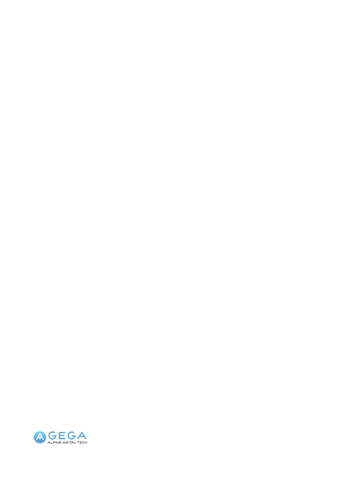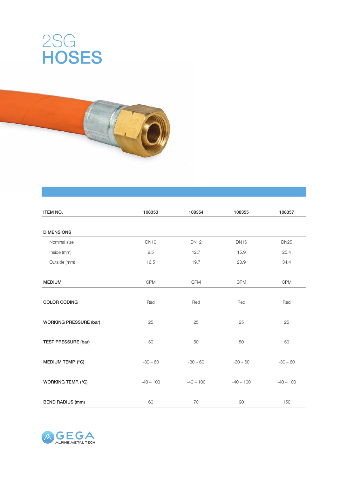



| <b>ITEM NO.</b>               | 108353      | 108354      | 108355      | 108357      |
|-------------------------------|-------------|-------------|-------------|-------------|
|                               |             |             |             |             |
| <b>DIMENSIONS</b>             |             |             |             |             |
| Nominal size                  | <b>DN10</b> | <b>DN12</b> | <b>DN16</b> | <b>DN25</b> |
| Inside (mm)                   | 9.5         | 12.7        | 15.9        | 25.4        |
| Outside (mm)                  | 16.5        | 19.7        | 23.9        | 34.4        |
|                               |             |             |             |             |
| <b>MEDIUM</b>                 | <b>CPM</b>  | <b>CPM</b>  | <b>CPM</b>  | <b>CPM</b>  |
|                               |             |             |             |             |
| <b>COLOR CODING</b>           | Red         | Red         | Red         | Red         |
|                               |             |             |             |             |
| <b>WORKING PRESSURE (bar)</b> | 25          | 25          | 25          | 25          |
|                               |             |             |             |             |
| <b>TEST PRESSURE (bar)</b>    | 50          | 50          | 50          | 50          |
|                               |             |             |             |             |
| MEDIUM TEMP. (°C)             | $-30 - 60$  | $-30 - 60$  | $-30 - 60$  | $-30 - 60$  |
|                               |             |             |             |             |
| <b>WORKING TEMP. (°C)</b>     | $-40 - 100$ | $-40 - 100$ | $-40 - 100$ | $-40 - 100$ |
|                               |             |             |             |             |
| <b>BEND RADIUS (mm)</b>       | 60          | 70          | 90          | 150         |
|                               |             |             |             |             |

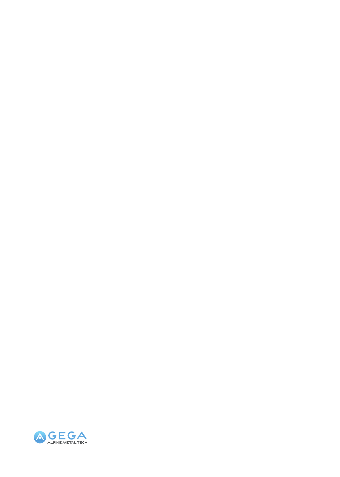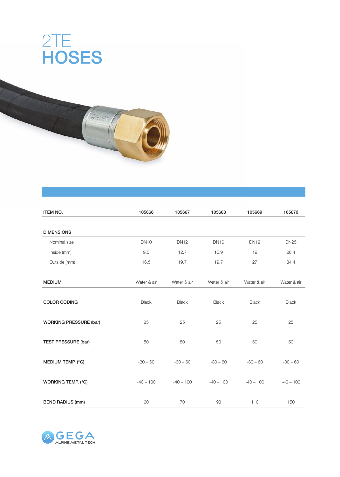

29/97



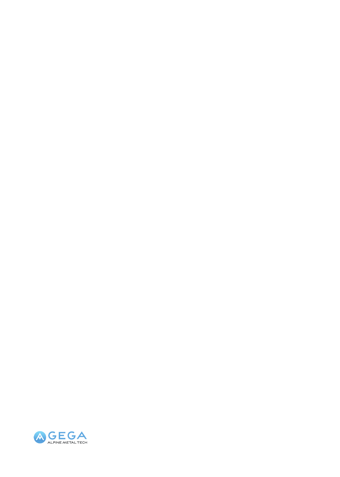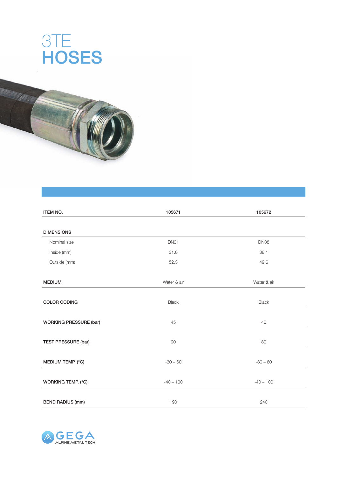



| <b>ITEM NO.</b>               | 105671       | 105672       |
|-------------------------------|--------------|--------------|
|                               |              |              |
|                               |              |              |
| <b>DIMENSIONS</b>             |              |              |
| Nominal size                  | DN31         | <b>DN38</b>  |
| Inside (mm)                   | 31.8         | 38.1         |
| Outside (mm)                  | 52.3         | 49.6         |
|                               |              |              |
| <b>MEDIUM</b>                 | Water & air  | Water & air  |
|                               |              |              |
| <b>COLOR CODING</b>           | <b>Black</b> | <b>Black</b> |
|                               |              |              |
| <b>WORKING PRESSURE (bar)</b> | 45           | 40           |
|                               |              |              |
| <b>TEST PRESSURE (bar)</b>    | 90           | 80           |
|                               |              |              |
| MEDIUM TEMP. (°C)             | $-30 - 60$   | $-30 - 60$   |
|                               |              |              |
| <b>WORKING TEMP. (°C)</b>     | $-40 - 100$  | $-40 - 100$  |
|                               |              |              |
| <b>BEND RADIUS (mm)</b>       | 190          | 240          |
|                               |              |              |

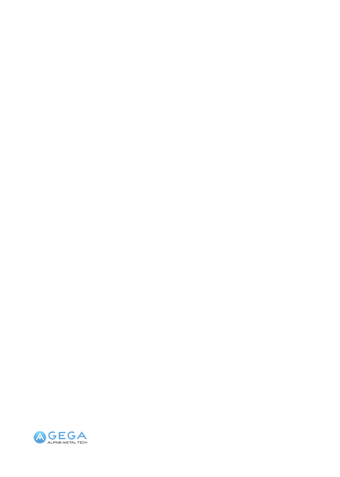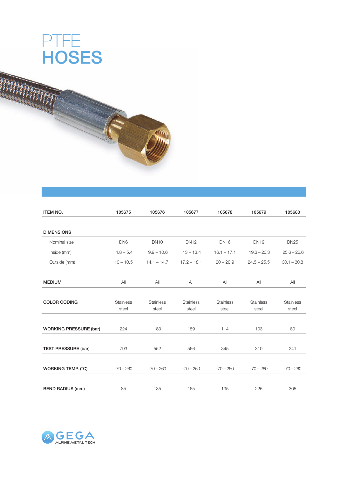

| <b>ITEM NO.</b>               | 105675           | 105676           | 105677           | 105678           | 105679           | 105680           |
|-------------------------------|------------------|------------------|------------------|------------------|------------------|------------------|
|                               |                  |                  |                  |                  |                  |                  |
|                               |                  |                  |                  |                  |                  |                  |
| <b>DIMENSIONS</b>             |                  |                  |                  |                  |                  |                  |
| Nominal size                  | DN <sub>6</sub>  | <b>DN10</b>      | <b>DN12</b>      | <b>DN16</b>      | <b>DN19</b>      | <b>DN25</b>      |
| Inside (mm)                   | $4.8 - 5.4$      | $9.9 - 10.6$     | $13 - 13.4$      | $16.1 - 17.1$    | $19.3 - 20.3$    | $25.6 - 26.6$    |
| Outside (mm)                  | $10 - 10.5$      | $14.1 - 14.7$    | $17.2 - 18.1$    | $20 - 20.9$      | $24.5 - 25.5$    | $30.1 - 30.8$    |
|                               |                  |                  |                  |                  |                  |                  |
| <b>MEDIUM</b>                 | All              | All              | All              | All              | All              | All              |
|                               |                  |                  |                  |                  |                  |                  |
| <b>COLOR CODING</b>           | <b>Stainless</b> | <b>Stainless</b> | <b>Stainless</b> | <b>Stainless</b> | <b>Stainless</b> | <b>Stainless</b> |
|                               | steel            | steel            | steel            | steel            | steel            | steel            |
|                               |                  |                  |                  |                  |                  |                  |
| <b>WORKING PRESSURE (bar)</b> | 224              | 183              | 189              | 114              | 103              | 80               |
|                               |                  |                  |                  |                  |                  |                  |
| <b>TEST PRESSURE (bar)</b>    | 793              | 552              | 566              | 345              | 310              | 241              |
|                               |                  |                  |                  |                  |                  |                  |
|                               | $-70 - 260$      | $-70 - 260$      | $-70 - 260$      | $-70 - 260$      | $-70 - 260$      | $-70 - 260$      |
| <b>WORKING TEMP. (°C)</b>     |                  |                  |                  |                  |                  |                  |
|                               |                  |                  |                  |                  |                  |                  |
| <b>BEND RADIUS (mm)</b>       | 85               | 135              | 165              | 195              | 225              | 305              |